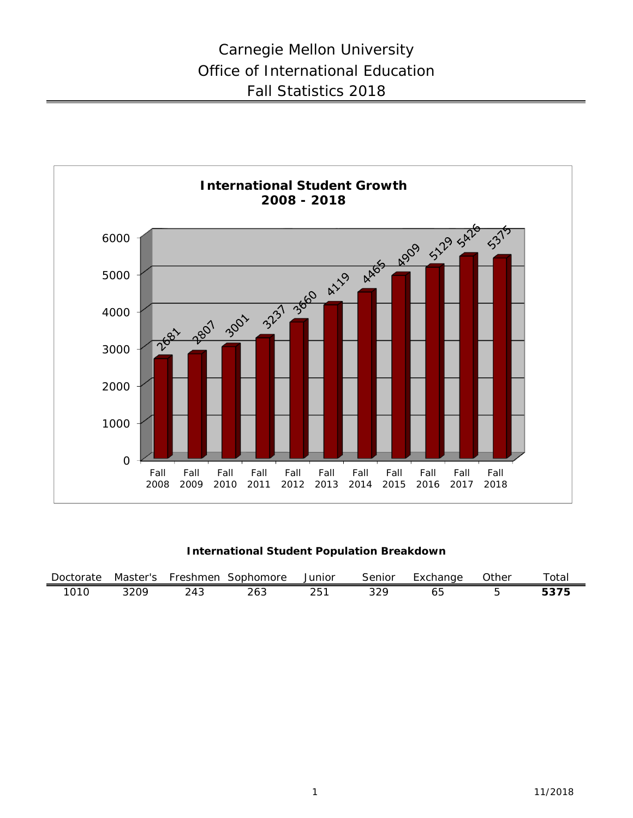

## **International Student Population Breakdown**

| Doctorate |       | Master's Freshmen | Sophomore | Junior | Senior | Exchange | Other | Totai |
|-----------|-------|-------------------|-----------|--------|--------|----------|-------|-------|
| 1010      | 320Q. | つんつ               | 263       | 251    |        |          |       | 5375  |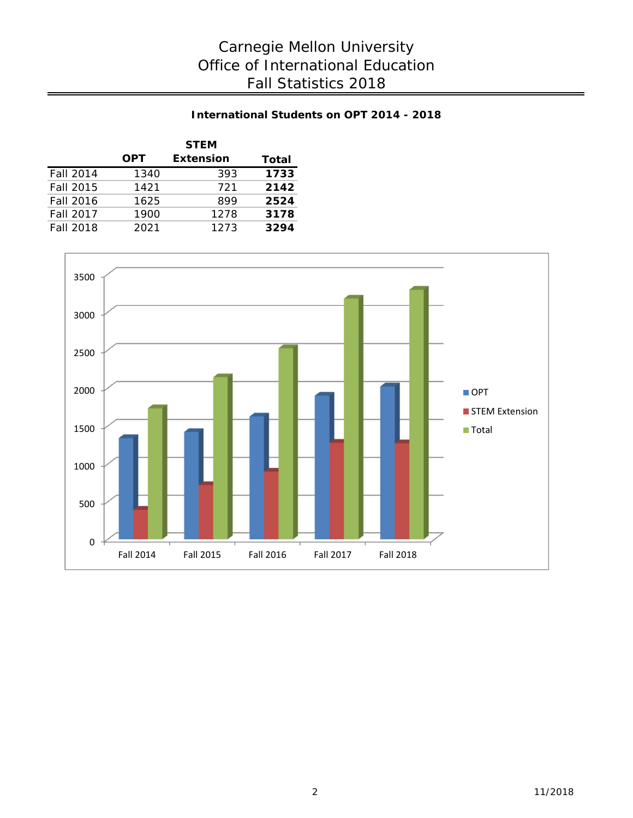## **International Students on OPT 2014 - 2018**

|                  |            | <b>STEM</b>      |      |  |  |  |  |
|------------------|------------|------------------|------|--|--|--|--|
|                  | <b>OPT</b> | <b>Extension</b> |      |  |  |  |  |
| <b>Fall 2014</b> | 1340       | 393              | 1733 |  |  |  |  |
| Fall 2015        | 1421       | 721              | 2142 |  |  |  |  |
| <b>Fall 2016</b> | 1625       | 899              | 2524 |  |  |  |  |
| <b>Fall 2017</b> | 1900       | 1278             | 3178 |  |  |  |  |
| <b>Fall 2018</b> | 2021       | 1273             | 3294 |  |  |  |  |

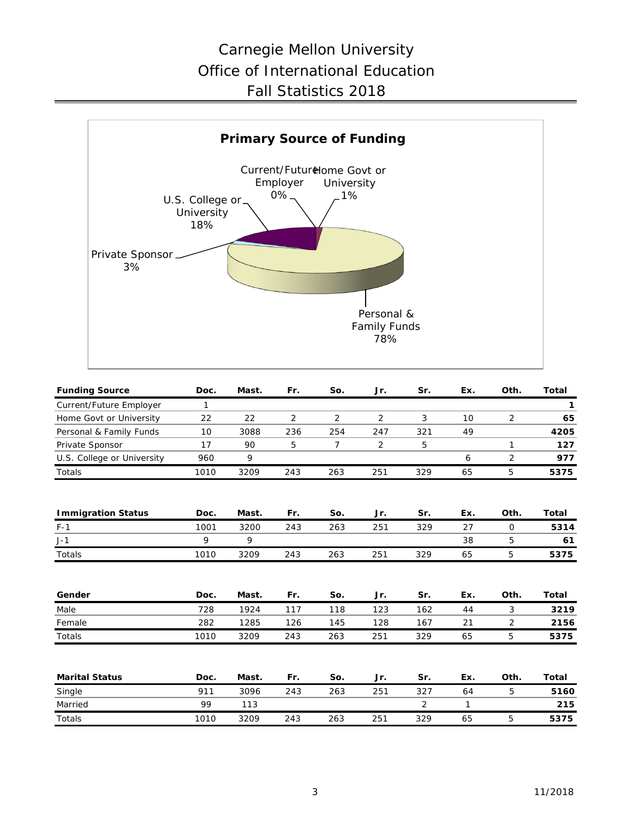

| <b>Funding Source</b>      | Doc. | Mast. | Fr.            | So. | Jr.            | Sr. | Ex.             | Oth.           | <b>Total</b> |
|----------------------------|------|-------|----------------|-----|----------------|-----|-----------------|----------------|--------------|
| Current/Future Employer    | 1    |       |                |     |                |     |                 |                | $\mathbf{1}$ |
| Home Govt or University    | 22   | 22    | $\overline{2}$ | 2   | $\overline{2}$ | 3   | 10 <sup>°</sup> | $\overline{2}$ | 65           |
| Personal & Family Funds    | 10   | 3088  | 236            | 254 | 247            | 321 | 49              |                | 4205         |
| Private Sponsor            | 17   | 90    | 5              | 7   | $\overline{2}$ | 5   |                 | 1              | 127          |
| U.S. College or University | 960  | 9     |                |     |                |     | 6               | 2              | 977          |
| Totals                     | 1010 | 3209  | 243            | 263 | 251            | 329 | 65              | 5              | 5375         |
| <b>Immigration Status</b>  | Doc. | Mast. | Fr.            | So. | Jr.            | Sr. | Ex.             | Oth.           | Total        |
| $F-1$                      | 1001 | 3200  | 243            | 263 | 251            | 329 | 27              | $\mathbf 0$    | 5314         |
| $J-1$                      | 9    | 9     |                |     |                |     | 38              | 5              | 61           |
| <b>Totals</b>              | 1010 | 3209  | 243            | 263 | 251            | 329 | 65              | 5              | 5375         |
| Gender                     | Doc. | Mast. | Fr.            | So. | Jr.            | Sr. | Ex.             | Oth.           | Total        |
| Male                       | 728  | 1924  | 117            | 118 | 123            | 162 | 44              | 3              | 3219         |
| Female                     | 282  | 1285  | 126            | 145 | 128            | 167 | 21              | 2              | 2156         |
| Totals                     | 1010 | 3209  | 243            | 263 | 251            | 329 | 65              | 5              | 5375         |
| <b>Marital Status</b>      | Doc. | Mast. | Fr.            | So. | Jr.            | Sr. | Ex.             | Oth.           | <b>Total</b> |
| Single                     | 911  | 3096  | 243            | 263 | 251            | 327 | 64              | 5              | 5160         |
| Married                    | 99   | 113   |                |     |                | 2   | 1               |                | 215          |
| Totals                     | 1010 | 3209  | 243            | 263 | 251            | 329 | 65              | 5              | 5375         |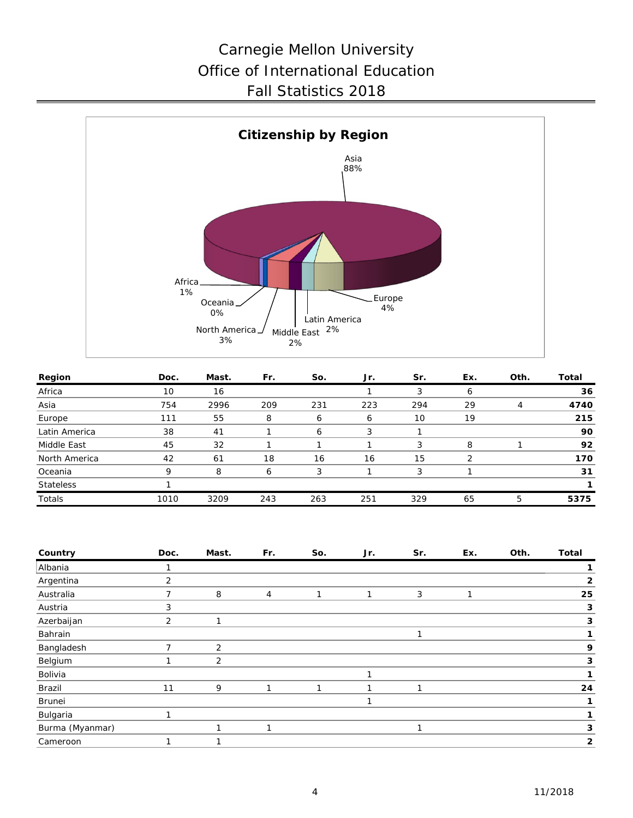

| Region           | Doc. | Mast. | Fr. | So.          | Jr. | Sr. | Ex. | Oth. | Total |
|------------------|------|-------|-----|--------------|-----|-----|-----|------|-------|
| Africa           | 10   | 16    |     |              |     |     | 6   |      | 36    |
| Asia             | 754  | 2996  | 209 | 231          | 223 | 294 | 29  | 4    | 4740  |
| Europe           | 111  | 55    | 8   | 6            | 6   | 10  | 19  |      | 215   |
| Latin America    | 38   | 41    |     | <sub>6</sub> | 3   |     |     |      | 90    |
| Middle East      | 45   | 32    |     |              |     | 3   | 8   |      | 92    |
| North America    | 42   | 61    | 18  | 16           | 16  | 15  |     |      | 170   |
| Oceania          | Q    | 8     | Ô   | 3            |     | 3   |     |      | 31    |
| <b>Stateless</b> |      |       |     |              |     |     |     |      |       |
| Totals           | 1010 | 3209  | 243 | 263          | 251 | 329 | 65  | 5    | 5375  |

| Country         | Doc.           | Mast.          | Fr. | So. | Jr. | Sr. | Ex. | Oth. | <b>Total</b> |
|-----------------|----------------|----------------|-----|-----|-----|-----|-----|------|--------------|
| Albania         |                |                |     |     |     |     |     |      |              |
| Argentina       | 2              |                |     |     |     |     |     |      | 2            |
| Australia       | ⇁              | 8              | 4   | 1   |     | 3   |     |      | 25           |
| Austria         | 3              |                |     |     |     |     |     |      | 3            |
| Azerbaijan      | $\overline{2}$ |                |     |     |     |     |     |      | 3            |
| Bahrain         |                |                |     |     |     |     |     |      |              |
| Bangladesh      | ⇁              | $\overline{2}$ |     |     |     |     |     |      | 9            |
| Belgium         |                | $\overline{2}$ |     |     |     |     |     |      | 3            |
| Bolivia         |                |                |     |     |     |     |     |      |              |
| Brazil          | 11             | 9              | 1   | 1   |     | и   |     |      | 24           |
| Brunei          |                |                |     |     |     |     |     |      |              |
| Bulgaria        | и              |                |     |     |     |     |     |      |              |
| Burma (Myanmar) |                |                | ┑   |     |     |     |     |      | 3            |
| Cameroon        |                |                |     |     |     |     |     |      | $\mathbf{2}$ |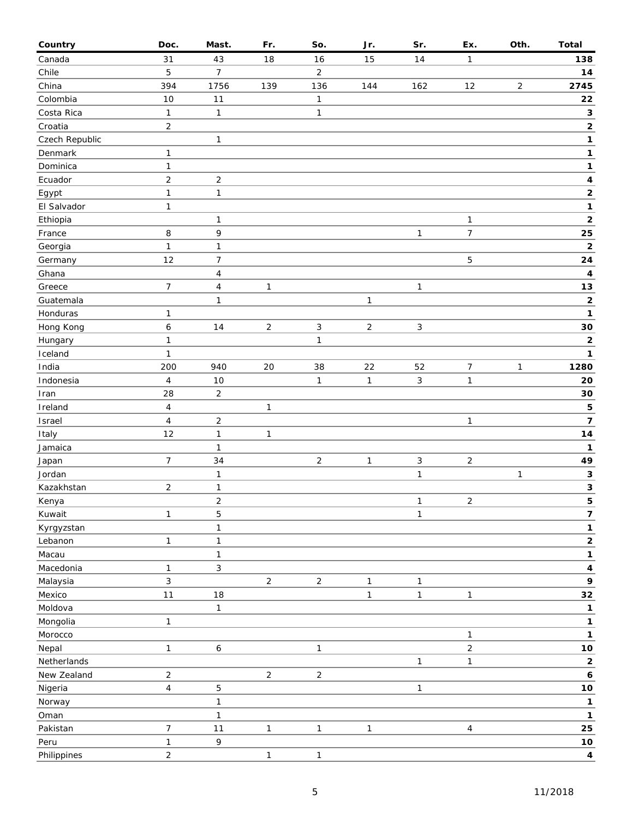| Country        | Doc.                    | Mast.                   | Fr.            | So.            | Jr.            | Sr.          | Ex.            | Oth.           | <b>Total</b>            |
|----------------|-------------------------|-------------------------|----------------|----------------|----------------|--------------|----------------|----------------|-------------------------|
| Canada         | 31                      | 43                      | 18             | 16             | 15             | 14           | 1              |                | 138                     |
| Chile          | 5                       | $\overline{7}$          |                | $\overline{2}$ |                |              |                |                | 14                      |
| China          | 394                     | 1756                    | 139            | 136            | 144            | 162          | 12             | $\overline{c}$ | 2745                    |
| Colombia       | 10                      | 11                      |                | 1              |                |              |                |                | 22                      |
| Costa Rica     | $\mathbf{1}$            | $\mathbf{1}$            |                | 1              |                |              |                |                | 3                       |
| Croatia        | $\overline{2}$          |                         |                |                |                |              |                |                | $\mathbf{2}$            |
| Czech Republic |                         | $\mathbf{1}$            |                |                |                |              |                |                | 1                       |
| Denmark        | $\mathbf{1}$            |                         |                |                |                |              |                |                | 1                       |
| Dominica       | $\mathbf{1}$            |                         |                |                |                |              |                |                | 1                       |
| Ecuador        | $\overline{c}$          | $\sqrt{2}$              |                |                |                |              |                |                | 4                       |
| Egypt          | $\mathbf{1}$            | $\mathbf{1}$            |                |                |                |              |                |                | $\mathbf 2$             |
| El Salvador    | $\mathbf{1}$            |                         |                |                |                |              |                |                | $\mathbf{1}$            |
| Ethiopia       |                         | 1                       |                |                |                |              | 1              |                | $\mathbf{2}$            |
| France         | 8                       | 9                       |                |                |                | $\mathbf{1}$ | $\overline{7}$ |                | 25                      |
| Georgia        | $\mathbf{1}$            | $\mathbf{1}$            |                |                |                |              |                |                | $\mathbf 2$             |
| Germany        | 12                      | 7                       |                |                |                |              | 5              |                | ${\bf 24}$              |
| Ghana          |                         | $\overline{\mathbf{4}}$ |                |                |                |              |                |                | 4                       |
| Greece         | $\overline{7}$          | $\pmb{4}$               | $\mathbf{1}$   |                |                | $\mathbf{1}$ |                |                | 13                      |
| Guatemala      |                         | $\mathbf{1}$            |                |                | $\mathbf{1}$   |              |                |                | $\mathbf 2$             |
| Honduras       | $\mathbf{1}$            |                         |                |                |                |              |                |                | 1                       |
| Hong Kong      | $\boldsymbol{6}$        | 14                      | $\overline{2}$ | 3              | $\overline{2}$ | $\mathbf{3}$ |                |                | 30                      |
| Hungary        | $\mathbf{1}$            |                         |                | 1              |                |              |                |                | $\mathbf 2$             |
| Iceland        | $\mathbf{1}$            |                         |                |                |                |              |                |                | 1                       |
| India          | 200                     | 940                     | 20             | 38             | 22             | 52           | 7              | 1              | 1280                    |
| Indonesia      | $\overline{4}$          | 10                      |                | $\mathbf{1}$   | $\mathbf{1}$   | $\mathbf{3}$ | 1              |                | 20                      |
| Iran           | 28                      | $\overline{c}$          |                |                |                |              |                |                | 30                      |
| Ireland        | $\overline{\mathbf{4}}$ |                         | $\mathbf{1}$   |                |                |              |                |                | 5                       |
| Israel         | $\overline{\mathbf{4}}$ | $\mathbf 2$             |                |                |                |              | 1              |                | $\overline{\mathbf{7}}$ |
| Italy          | 12                      | 1                       | $\mathbf{1}$   |                |                |              |                |                | 14                      |
| Jamaica        |                         | $\mathbf{1}$            |                |                |                |              |                |                | 1                       |
| Japan          | $\boldsymbol{7}$        | 34                      |                | $\overline{2}$ | $\mathbf{1}$   | $\mathbf{3}$ | $\sqrt{2}$     |                | 49                      |
| Jordan         |                         | $\mathbf{1}$            |                |                |                | $\mathbf{1}$ |                | $\mathbf{1}$   | 3                       |
| Kazakhstan     | $\overline{2}$          | $\mathbf{1}$            |                |                |                |              |                |                | $\mathbf{3}$            |
| Kenya          |                         | $\overline{c}$          |                |                |                | $\mathbf{1}$ | $\mathbf 2$    |                | 5                       |
| Kuwait         | $\mathbf{1}$            | 5                       |                |                |                | $\mathbf{1}$ |                |                | 7                       |
| Kyrgyzstan     |                         | $\mathbf{1}$            |                |                |                |              |                |                | $\mathbf 1$             |
| Lebanon        | $\mathbf{1}$            | $\mathbf{1}$            |                |                |                |              |                |                | $\mathbf{2}$            |
| Macau          |                         | $\mathbf{1}$            |                |                |                |              |                |                | 1                       |
| Macedonia      | $\mathbf{1}$            | 3                       |                |                |                |              |                |                | $\pmb{4}$               |
| Malaysia       | 3                       |                         | $\overline{2}$ | $\sqrt{2}$     | $\mathbf{1}$   | $\mathbf{1}$ |                |                | 9                       |
| Mexico         | 11                      | 18                      |                |                | $\mathbf{1}$   | $\mathbf{1}$ | 1              |                | 32                      |
| Moldova        |                         | $\mathbf{1}$            |                |                |                |              |                |                | 1                       |
| Mongolia       | $\mathbf{1}$            |                         |                |                |                |              |                |                | $\mathbf 1$             |
| Morocco        |                         |                         |                |                |                |              | 1              |                | 1                       |
| Nepal          | $\mathbf{1}$            | $\boldsymbol{6}$        |                | $\mathbf{1}$   |                |              | $\sqrt{2}$     |                | $10$                    |
| Netherlands    |                         |                         |                |                |                | $\mathbf{1}$ | 1              |                | $\overline{\mathbf{c}}$ |
| New Zealand    | $\overline{c}$          |                         | $\overline{2}$ | $\sqrt{2}$     |                |              |                |                | 6                       |
| Nigeria        | $\overline{4}$          | 5                       |                |                |                | $\mathbf{1}$ |                |                | $10$                    |
| Norway         |                         | $\mathbf{1}$            |                |                |                |              |                |                | 1                       |
| Oman           |                         | $\mathbf{1}$            |                |                |                |              |                |                | 1                       |
| Pakistan       | $\boldsymbol{7}$        | 11                      | $\mathbf{1}$   | $\mathbf{1}$   | $\mathbf{1}$   |              | $\overline{4}$ |                | 25                      |
| Peru           | $\mathbf{1}$            | 9                       |                |                |                |              |                |                | $10$                    |
| Philippines    | $\overline{2}$          |                         | $\mathbf 1$    | $\mathbf{1}$   |                |              |                |                | $\overline{\mathbf{4}}$ |
|                |                         |                         |                |                |                |              |                |                |                         |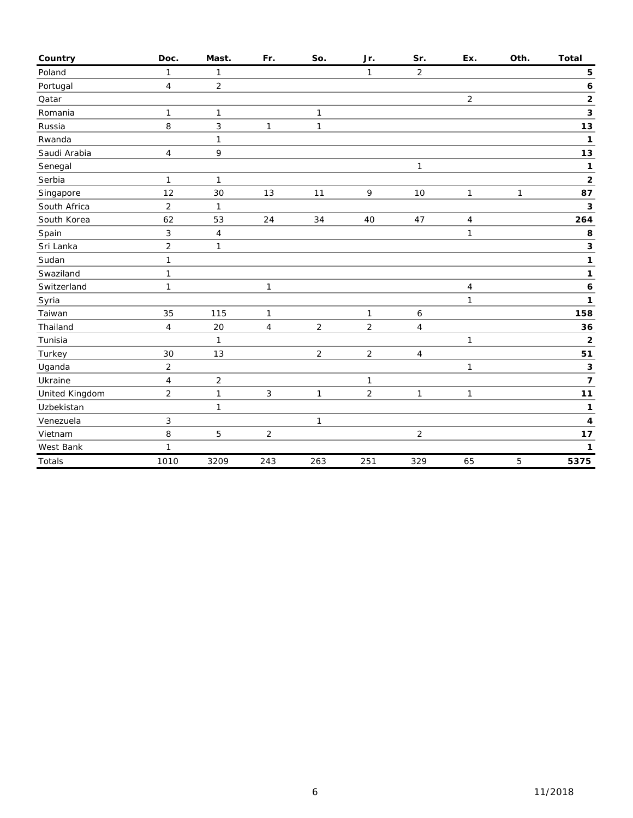| Country        | Doc.           | Mast.          | Fr.          | So.            | Jr.            | Sr.            | Ex.            | Oth.         | <b>Total</b>   |
|----------------|----------------|----------------|--------------|----------------|----------------|----------------|----------------|--------------|----------------|
| Poland         | $\mathbf{1}$   | $\mathbf{1}$   |              |                | $\mathbf{1}$   | $\overline{2}$ |                |              | 5              |
| Portugal       | 4              | $\overline{2}$ |              |                |                |                |                |              | 6              |
| Qatar          |                |                |              |                |                |                | $\overline{2}$ |              | $\mathbf 2$    |
| Romania        | $\mathbf{1}$   | $\mathbf{1}$   |              | 1              |                |                |                |              | 3              |
| Russia         | 8              | 3              | $\mathbf{1}$ | $\mathbf{1}$   |                |                |                |              | 13             |
| Rwanda         |                | $\mathbf{1}$   |              |                |                |                |                |              | $\mathbf{1}$   |
| Saudi Arabia   | 4              | 9              |              |                |                |                |                |              | 13             |
| Senegal        |                |                |              |                |                | $\mathbf{1}$   |                |              | 1              |
| Serbia         | $\mathbf{1}$   | $\mathbf{1}$   |              |                |                |                |                |              | $\mathbf 2$    |
| Singapore      | 12             | 30             | 13           | 11             | 9              | 10             | 1              | $\mathbf{1}$ | 87             |
| South Africa   | $\overline{2}$ | $\mathbf{1}$   |              |                |                |                |                |              | 3              |
| South Korea    | 62             | 53             | 24           | 34             | 40             | 47             | 4              |              | 264            |
| Spain          | 3              | $\overline{4}$ |              |                |                |                | $\mathbf{1}$   |              | 8              |
| Sri Lanka      | $\overline{2}$ | $\mathbf{1}$   |              |                |                |                |                |              | 3              |
| Sudan          | $\mathbf{1}$   |                |              |                |                |                |                |              | 1              |
| Swaziland      | $\mathbf{1}$   |                |              |                |                |                |                |              | 1              |
| Switzerland    | 1              |                | $\mathbf{1}$ |                |                |                | 4              |              | 6              |
| Syria          |                |                |              |                |                |                | 1              |              | 1              |
| Taiwan         | 35             | 115            | 1            |                | 1              | 6              |                |              | 158            |
| Thailand       | $\overline{4}$ | 20             | 4            | $\overline{c}$ | $\overline{c}$ | $\overline{4}$ |                |              | 36             |
| Tunisia        |                | $\mathbf{1}$   |              |                |                |                | 1              |              | $\mathbf 2$    |
| Turkey         | 30             | 13             |              | $\overline{2}$ | $\sqrt{2}$     | $\overline{4}$ |                |              | 51             |
| Uganda         | $\overline{2}$ |                |              |                |                |                | 1              |              | 3              |
| Ukraine        | $\overline{4}$ | $\overline{2}$ |              |                | 1              |                |                |              | $\overline{7}$ |
| United Kingdom | $\overline{2}$ | $\mathbf{1}$   | 3            | $\mathbf{1}$   | $\overline{c}$ | $\mathbf{1}$   | 1              |              | $11$           |
| Uzbekistan     |                | $\mathbf{1}$   |              |                |                |                |                |              | 1              |
| Venezuela      | $\sqrt{3}$     |                |              | 1              |                |                |                |              | 4              |
| Vietnam        | 8              | 5              | 2            |                |                | $\overline{2}$ |                |              | 17             |
| West Bank      | $\mathbf{1}$   |                |              |                |                |                |                |              | 1              |
| Totals         | 1010           | 3209           | 243          | 263            | 251            | 329            | 65             | 5            | 5375           |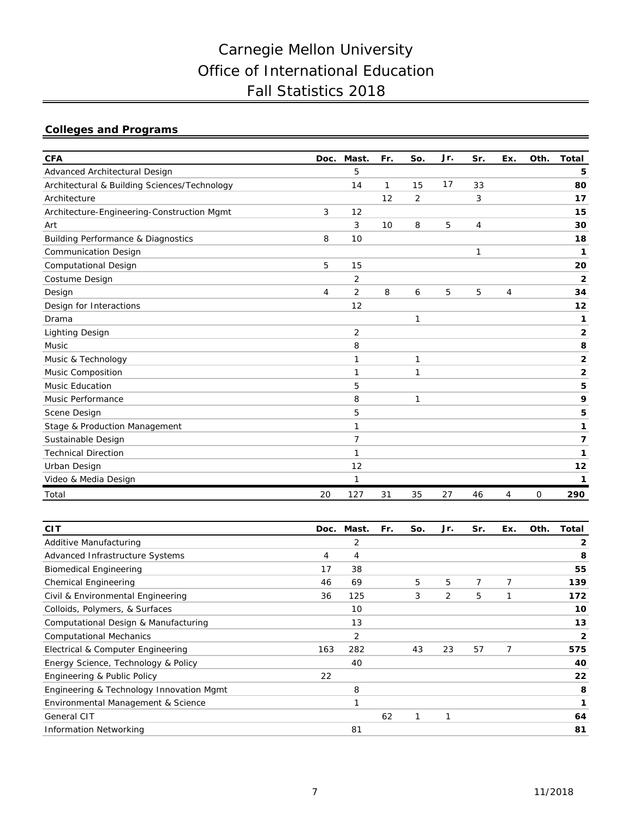## **Colleges and Programs**

| <b>CFA</b>                                    | Doc. | Mast.          | Fr. | So.            | Jr. | Sr.          | Ex.            | Oth. | <b>Total</b>   |
|-----------------------------------------------|------|----------------|-----|----------------|-----|--------------|----------------|------|----------------|
| Advanced Architectural Design                 |      | 5              |     |                |     |              |                |      | 5              |
| Architectural & Building Sciences/Technology  |      | 14             | 1   | 15             | 17  | 33           |                |      | 80             |
| Architecture                                  |      |                | 12  | $\overline{2}$ |     | 3            |                |      | 17             |
| Architecture-Engineering-Construction Mgmt    | 3    | 12             |     |                |     |              |                |      | 15             |
| Art                                           |      | 3              | 10  | 8              | 5   | 4            |                |      | 30             |
| <b>Building Performance &amp; Diagnostics</b> | 8    | 10             |     |                |     |              |                |      | 18             |
| <b>Communication Design</b>                   |      |                |     |                |     | $\mathbf{1}$ |                |      | 1              |
| Computational Design                          | 5    | 15             |     |                |     |              |                |      | 20             |
| Costume Design                                |      | $\overline{2}$ |     |                |     |              |                |      | $\overline{2}$ |
| Design                                        | 4    | 2              | 8   | 6              | 5   | 5            | 4              |      | 34             |
| Design for Interactions                       |      | 12             |     |                |     |              |                |      | 12             |
| Drama                                         |      |                |     | 1              |     |              |                |      | 1              |
| <b>Lighting Design</b>                        |      | $\overline{2}$ |     |                |     |              |                |      | 2              |
| Music                                         |      | 8              |     |                |     |              |                |      | 8              |
| Music & Technology                            |      | 1              |     | 1              |     |              |                |      | 2              |
| Music Composition                             |      | 1              |     | 1              |     |              |                |      | 2              |
| <b>Music Education</b>                        |      | 5              |     |                |     |              |                |      | 5              |
| Music Performance                             |      | 8              |     | 1              |     |              |                |      | 9              |
| Scene Design                                  |      | 5              |     |                |     |              |                |      | 5              |
| Stage & Production Management                 |      | 1              |     |                |     |              |                |      | 1              |
| Sustainable Design                            |      | $\overline{7}$ |     |                |     |              |                |      | 7              |
| <b>Technical Direction</b>                    |      | $\mathbf{1}$   |     |                |     |              |                |      | 1              |
| Urban Design                                  |      | 12             |     |                |     |              |                |      | 12             |
| Video & Media Design                          |      | 1              |     |                |     |              |                |      | 1              |
| Total                                         | 20   | 127            | 31  | 35             | 27  | 46           | $\overline{4}$ | 0    | 290            |

| <b>CIT</b>                               | Doc. | Mast. | Fr. | So. | Jr. | Sr. | Ex. | Oth. | Total |
|------------------------------------------|------|-------|-----|-----|-----|-----|-----|------|-------|
| Additive Manufacturing                   |      | 2     |     |     |     |     |     |      | 2     |
| Advanced Infrastructure Systems          | 4    | 4     |     |     |     |     |     |      | 8     |
| <b>Biomedical Engineering</b>            | 17   | 38    |     |     |     |     |     |      | 55    |
| <b>Chemical Engineering</b>              | 46   | 69    |     | 5   | 5   | 7   | 7   |      | 139   |
| Civil & Environmental Engineering        | 36   | 125   |     | 3   | 2   | 5   | 1   |      | 172   |
| Colloids, Polymers, & Surfaces           |      | 10    |     |     |     |     |     |      | 10    |
| Computational Design & Manufacturing     |      | 13    |     |     |     |     |     |      | 13    |
| <b>Computational Mechanics</b>           |      | 2     |     |     |     |     |     |      | 2     |
| Electrical & Computer Engineering        | 163  | 282   |     | 43  | 23  | 57  | 7   |      | 575   |
| Energy Science, Technology & Policy      |      | 40    |     |     |     |     |     |      | 40    |
| Engineering & Public Policy              | 22   |       |     |     |     |     |     |      | 22    |
| Engineering & Technology Innovation Mgmt |      | 8     |     |     |     |     |     |      | 8     |
| Environmental Management & Science       |      |       |     |     |     |     |     |      | 1     |
| <b>General CIT</b>                       |      |       | 62  |     |     |     |     |      | 64    |
| <b>Information Networking</b>            |      | 81    |     |     |     |     |     |      | 81    |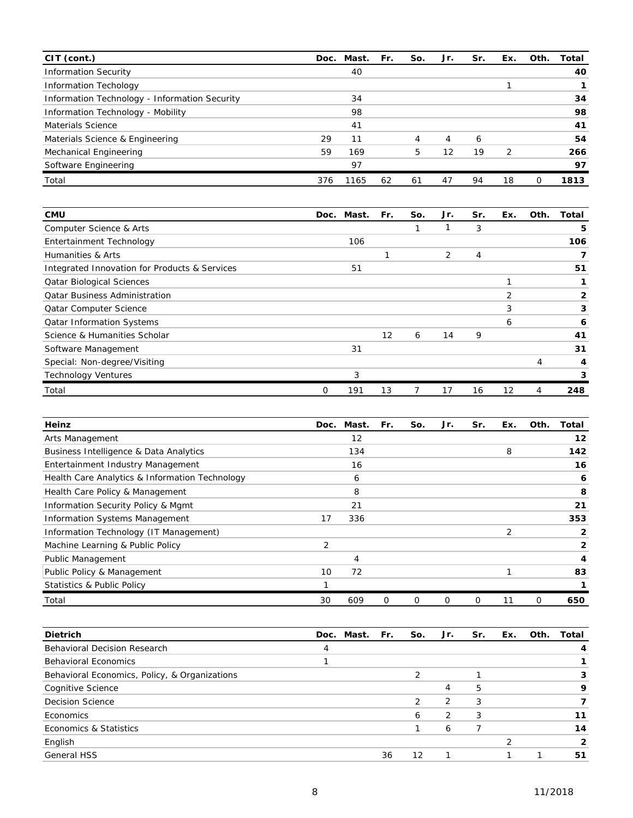| $CIT$ (cont.)                                 | Doc. | Mast. | Fr. | So. | Jr. | Sr. | Ex. | Oth. | Total |
|-----------------------------------------------|------|-------|-----|-----|-----|-----|-----|------|-------|
| <b>Information Security</b>                   |      | 40    |     |     |     |     |     |      | 40    |
| <b>Information Techology</b>                  |      |       |     |     |     |     |     |      |       |
| Information Technology - Information Security |      | 34    |     |     |     |     |     |      | 34    |
| Information Technology - Mobility             |      | 98    |     |     |     |     |     |      | 98    |
| Materials Science                             |      | 41    |     |     |     |     |     |      | 41    |
| Materials Science & Engineering               | 29   | 11    |     | 4   | 4   | 6   |     |      | 54    |
| Mechanical Engineering                        | 59   | 169   |     | 5   | 12  | 19  | 2   |      | 266   |
| Software Engineering                          |      | 97    |     |     |     |     |     |      | 97    |
| Total                                         | 376  | 1165  | 62  | 61  | 47  | 94  | 18  | Ω    | 1813  |

| <b>CMU</b>                                    |   | Doc. Mast. | Fr. | So. | Jr. | Sr. | Ex. | Oth. | Total |
|-----------------------------------------------|---|------------|-----|-----|-----|-----|-----|------|-------|
| Computer Science & Arts                       |   |            |     |     |     | 3   |     |      | 5     |
| Entertainment Technology                      |   | 106        |     |     |     |     |     |      | 106   |
| Humanities & Arts                             |   |            |     |     | 2   | 4   |     |      |       |
| Integrated Innovation for Products & Services |   | 51         |     |     |     |     |     |      | 51    |
| <b>Qatar Biological Sciences</b>              |   |            |     |     |     |     |     |      |       |
| <b>Qatar Business Administration</b>          |   |            |     |     |     |     | 2   |      | 2     |
| <b>Qatar Computer Science</b>                 |   |            |     |     |     |     | 3   |      | 3     |
| <b>Qatar Information Systems</b>              |   |            |     |     |     |     | 6   |      | 6     |
| Science & Humanities Scholar                  |   |            | 12  | 6   | 14  | 9   |     |      | 41    |
| Software Management                           |   | 31         |     |     |     |     |     |      | 31    |
| Special: Non-degree/Visiting                  |   |            |     |     |     |     |     | 4    | 4     |
| <b>Technology Ventures</b>                    |   | 3          |     |     |     |     |     |      | 3     |
| Total                                         | 0 | 191        | 13  |     | 17  | 16  | 12  | 4    | 248   |

| Heinz                                          | Doc.           | Mast. | Fr. | So. | Jr. | Sr. | Ex. | Oth. | Total |
|------------------------------------------------|----------------|-------|-----|-----|-----|-----|-----|------|-------|
| Arts Management                                |                | 12    |     |     |     |     |     |      | 12    |
| Business Intelligence & Data Analytics         |                | 134   |     |     |     |     | 8   |      | 142   |
| Entertainment Industry Management              |                | 16    |     |     |     |     |     |      | 16    |
| Health Care Analytics & Information Technology |                | 6     |     |     |     |     |     |      | 6     |
| Health Care Policy & Management                |                | 8     |     |     |     |     |     |      | 8     |
| Information Security Policy & Mgmt             |                | 21    |     |     |     |     |     |      | 21    |
| Information Systems Management                 | 17             | 336   |     |     |     |     |     |      | 353   |
| Information Technology (IT Management)         |                |       |     |     |     |     | 2   |      | 2     |
| Machine Learning & Public Policy               | $\overline{2}$ |       |     |     |     |     |     |      | 2     |
| <b>Public Management</b>                       |                | 4     |     |     |     |     |     |      | 4     |
| Public Policy & Management                     | 10             | 72    |     |     |     |     |     |      | 83    |
| <b>Statistics &amp; Public Policy</b>          |                |       |     |     |     |     |     |      |       |
| Total                                          | 30             | 609   | Ο   | 0   | 0   | 0   | 11  | 0    | 650   |

| <b>Dietrich</b>                               | Doc. | Mast. | Fr. | So. | Jr.            | Sr. | Ex. | Oth. | Total |
|-----------------------------------------------|------|-------|-----|-----|----------------|-----|-----|------|-------|
| Behavioral Decision Research                  | 4    |       |     |     |                |     |     |      |       |
| <b>Behavioral Economics</b>                   |      |       |     |     |                |     |     |      |       |
| Behavioral Economics, Policy, & Organizations |      |       |     | っ   |                |     |     |      |       |
| Cognitive Science                             |      |       |     |     | 4              | 5   |     |      | 9     |
| <b>Decision Science</b>                       |      |       |     | 2   | 2              | 3   |     |      |       |
| Economics                                     |      |       |     | 6   | $\overline{2}$ | 3   |     |      | 11    |
| Economics & Statistics                        |      |       |     |     | 6              |     |     |      | 14    |
| English                                       |      |       |     |     |                |     |     |      | 2     |
| <b>General HSS</b>                            |      |       | 36  | 12  |                |     |     |      | 51    |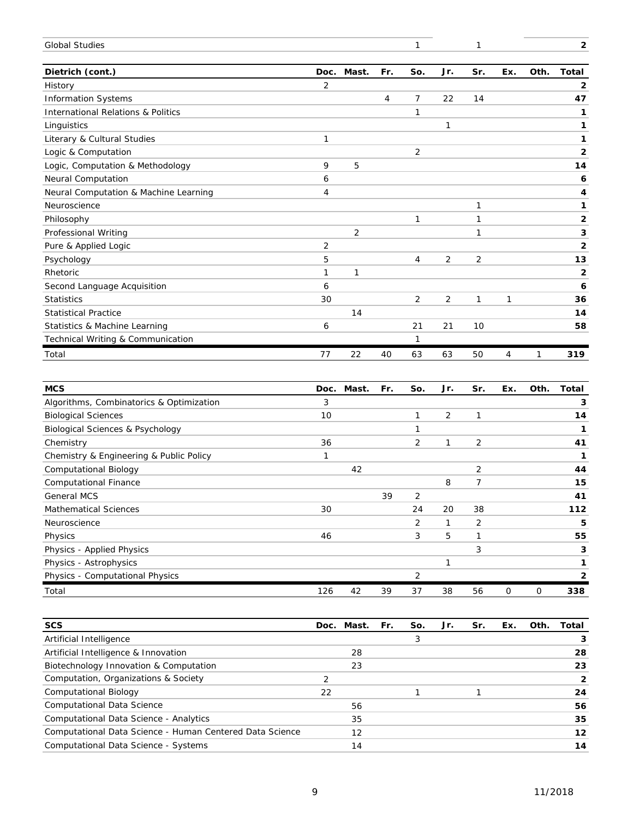| <b>Global Studies</b>                         |                |                |     | 1   |                | 1              |                |              | $\overline{2}$          |
|-----------------------------------------------|----------------|----------------|-----|-----|----------------|----------------|----------------|--------------|-------------------------|
| Dietrich (cont.)                              | Doc.           | Mast.          | Fr. | So. | Jr.            | Sr.            | Ex.            | Oth.         | Total                   |
| History                                       | $\overline{2}$ |                |     |     |                |                |                |              | $\mathbf{2}$            |
| <b>Information Systems</b>                    |                |                | 4   | 7   | 22             | 14             |                |              | 47                      |
| <b>International Relations &amp; Politics</b> |                |                |     | 1   |                |                |                |              | 1                       |
| Linguistics                                   |                |                |     |     | $\mathbf{1}$   |                |                |              | 1                       |
| Literary & Cultural Studies                   | 1              |                |     |     |                |                |                |              | 1                       |
| Logic & Computation                           |                |                |     | 2   |                |                |                |              | $\overline{\mathbf{2}}$ |
| Logic, Computation & Methodology              | 9              | 5              |     |     |                |                |                |              | 14                      |
| Neural Computation                            | 6              |                |     |     |                |                |                |              | 6                       |
| Neural Computation & Machine Learning         | 4              |                |     |     |                |                |                |              | 4                       |
| Neuroscience                                  |                |                |     |     |                | 1              |                |              | 1                       |
| Philosophy                                    |                |                |     | 1   |                | 1              |                |              | $\mathbf{2}$            |
| Professional Writing                          |                | $\overline{2}$ |     |     |                | 1              |                |              | 3                       |
| Pure & Applied Logic                          | 2              |                |     |     |                |                |                |              | $\overline{\mathbf{2}}$ |
| Psychology                                    | 5              |                |     | 4   | $\overline{2}$ | 2              |                |              | 13                      |
| Rhetoric                                      | 1              | 1              |     |     |                |                |                |              | $\mathbf{2}$            |
| Second Language Acquisition                   | 6              |                |     |     |                |                |                |              | 6                       |
| <b>Statistics</b>                             | 30             |                |     | 2   | $\overline{c}$ | 1              | 1              |              | 36                      |
| <b>Statistical Practice</b>                   |                | 14             |     |     |                |                |                |              | 14                      |
| Statistics & Machine Learning                 | 6              |                |     | 21  | 21             | 10             |                |              | 58                      |
| Technical Writing & Communication             |                |                |     | 1   |                |                |                |              |                         |
| Total                                         | 77             | 22             | 40  | 63  | 63             | 50             | $\overline{4}$ | $\mathcal I$ | 319                     |
|                                               |                |                |     |     |                |                |                |              |                         |
| <b>MCS</b>                                    | Doc.           | Mast.          | Fr. | So. | Jr.            | Sr.            | Ex.            | Oth.         | <b>Total</b>            |
| Algorithms, Combinatorics & Optimization      | 3              |                |     |     |                |                |                |              | 3                       |
| <b>Biological Sciences</b>                    | 10             |                |     | 1   | 2              | 1              |                |              | 14                      |
| Biological Sciences & Psychology              |                |                |     | 1   |                |                |                |              | 1                       |
| Chemistry                                     | 36             |                |     | 2   | 1              | 2              |                |              | 41                      |
| Chemistry & Engineering & Public Policy       | 1              |                |     |     |                |                |                |              | 1                       |
| <b>Computational Biology</b>                  |                | 42             |     |     |                | 2              |                |              | 44                      |
| <b>Computational Finance</b>                  |                |                |     |     | 8              | $\overline{7}$ |                |              | 15                      |
| <b>General MCS</b>                            |                |                | 39  | 2   |                |                |                |              | 41                      |
| <b>Mathematical Sciences</b>                  | 30             |                |     | 24  | 20             | 38             |                |              | 112                     |
| Neuroscience                                  |                |                |     | 2   | 1              | 2              |                |              | 5                       |
| Physics                                       | 46             |                |     | 3   | 5              | 1              |                |              | 55                      |
| Dhugies, Applied Dhugies                      |                |                |     |     |                | <sup>1</sup>   |                |              | G                       |

| Physics - Applied Physics       |     |                  |  |    |    |  |     |
|---------------------------------|-----|------------------|--|----|----|--|-----|
| Physics - Astrophysics          |     |                  |  |    |    |  |     |
| Physics - Computational Physics |     |                  |  |    |    |  |     |
| Total                           | 126 | $\overline{4}$ : |  | 38 | 56 |  | 338 |

| <b>SCS</b>                                               |    | Doc. Mast. | Fr. | So. | Jr. | Sr. | Ex. | Oth. | Total          |
|----------------------------------------------------------|----|------------|-----|-----|-----|-----|-----|------|----------------|
| Artificial Intelligence                                  |    |            |     |     |     |     |     |      |                |
| Artificial Intelligence & Innovation                     |    | 28         |     |     |     |     |     |      | 28             |
| Biotechnology Innovation & Computation                   |    | 23         |     |     |     |     |     |      | 23             |
| Computation, Organizations & Society                     |    |            |     |     |     |     |     |      | $\overline{2}$ |
| <b>Computational Biology</b>                             | 22 |            |     |     |     |     |     |      | 24             |
| <b>Computational Data Science</b>                        |    | 56         |     |     |     |     |     |      | 56             |
| Computational Data Science - Analytics                   |    | 35         |     |     |     |     |     |      | 35             |
| Computational Data Science - Human Centered Data Science |    | 12         |     |     |     |     |     |      | 12             |
| Computational Data Science - Systems                     |    | 14         |     |     |     |     |     |      | 14             |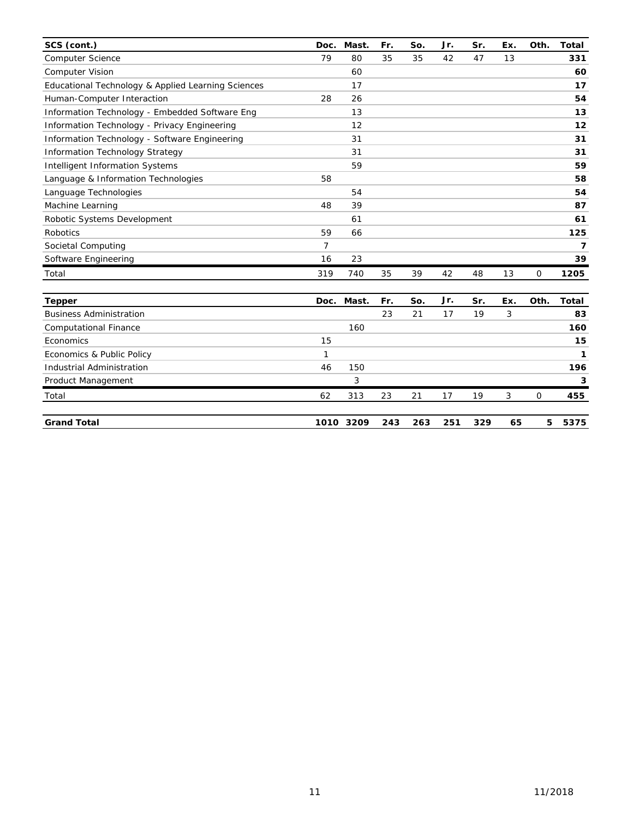| SCS (cont.)                                        | Doc. | Mast.     | Fr. | So. | Jr. | Sr. | Ex. | Oth. | <b>Total</b> |
|----------------------------------------------------|------|-----------|-----|-----|-----|-----|-----|------|--------------|
| <b>Computer Science</b>                            | 79   | 80        | 35  | 35  | 42  | 47  | 13  |      | 331          |
| <b>Computer Vision</b>                             |      | 60        |     |     |     |     |     |      | 60           |
| Educational Technology & Applied Learning Sciences |      | 17        |     |     |     |     |     |      | 17           |
| Human-Computer Interaction                         | 28   | 26        |     |     |     |     |     |      | 54           |
| Information Technology - Embedded Software Eng     |      | 13        |     |     |     |     |     |      | 13           |
| Information Technology - Privacy Engineering       |      | 12        |     |     |     |     |     |      | 12           |
| Information Technology - Software Engineering      |      | 31        |     |     |     |     |     |      | 31           |
| <b>Information Technology Strategy</b>             |      | 31        |     |     |     |     |     |      | 31           |
| Intelligent Information Systems                    |      | 59        |     |     |     |     |     |      | 59           |
| Language & Information Technologies                | 58   |           |     |     |     |     |     |      | 58           |
| Language Technologies                              |      | 54        |     |     |     |     |     |      | 54           |
| Machine Learning                                   | 48   | 39        |     |     |     |     |     |      | 87           |
| Robotic Systems Development                        |      | 61        |     |     |     |     |     |      | 61           |
| <b>Robotics</b>                                    | 59   | 66        |     |     |     |     |     |      | 125          |
| Societal Computing                                 | 7    |           |     |     |     |     |     |      | 7            |
| Software Engineering                               | 16   | 23        |     |     |     |     |     |      | 39           |
| Total                                              | 319  | 740       | 35  | 39  | 42  | 48  | 13  | 0    | 1205         |
| <b>Tepper</b>                                      | Doc. | Mast.     | Fr. | So. | Jr. | Sr. | Ex. | Oth. | <b>Total</b> |
| <b>Business Administration</b>                     |      |           | 23  | 21  | 17  | 19  | 3   |      | 83           |
| <b>Computational Finance</b>                       |      | 160       |     |     |     |     |     |      | 160          |
| Economics                                          | 15   |           |     |     |     |     |     |      | 15           |
| Economics & Public Policy                          | 1    |           |     |     |     |     |     |      | 1            |
| Industrial Administration                          | 46   | 150       |     |     |     |     |     |      | 196          |
| Product Management                                 |      | 3         |     |     |     |     |     |      | 3            |
| Total                                              | 62   | 313       | 23  | 21  | 17  | 19  | 3   | 0    | 455          |
| <b>Grand Total</b>                                 |      | 1010 3209 | 243 | 263 | 251 | 329 | 65  | 5    | 5375         |